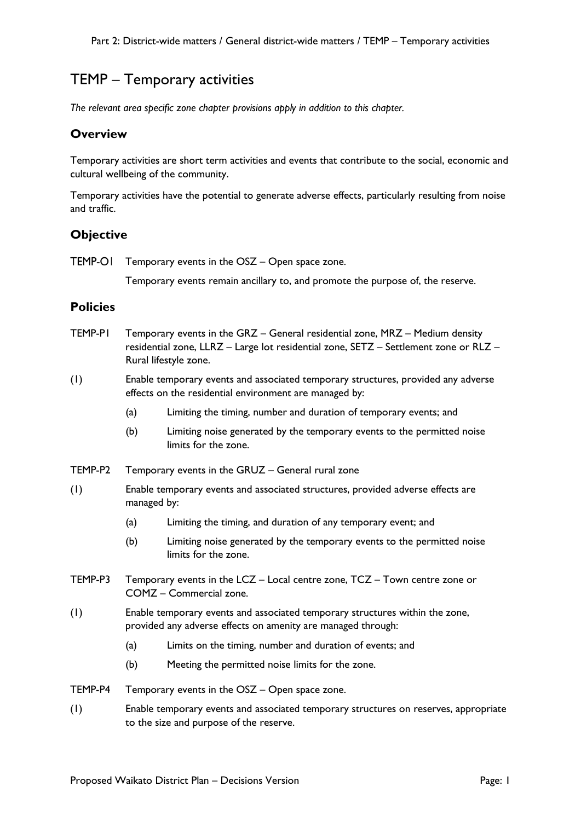# TEMP – Temporary activities

*The relevant area specific zone chapter provisions apply in addition to this chapter.*

#### **Overview**

Temporary activities are short term activities and events that contribute to the social, economic and cultural wellbeing of the community.

Temporary activities have the potential to generate adverse effects, particularly resulting from noise and traffic.

## **Objective**

**TEMP-OI** Temporary events in the OSZ – Open space zone.

Temporary events remain ancillary to, and promote the purpose of, the reserve.

#### **Policies**

- TEMP-P1 Temporary events in the GRZ General residential zone, MRZ Medium density residential zone, LLRZ – Large lot residential zone, SETZ – Settlement zone or RLZ – Rural lifestyle zone.
- (1) Enable temporary events and associated temporary structures, provided any adverse effects on the residential environment are managed by:
	- (a) Limiting the timing, number and duration of temporary events; and
	- (b) Limiting noise generated by the temporary events to the permitted noise limits for the zone.
- TEMP-P2 Temporary events in the GRUZ General rural zone
- (1) Enable temporary events and associated structures, provided adverse effects are managed by:
	- (a) Limiting the timing, and duration of any temporary event; and
	- (b) Limiting noise generated by the temporary events to the permitted noise limits for the zone.
- TEMP-P3 Temporary events in the LCZ Local centre zone, TCZ Town centre zone or COMZ – Commercial zone.
- (1) Enable temporary events and associated temporary structures within the zone, provided any adverse effects on amenity are managed through:
	- (a) Limits on the timing, number and duration of events; and
	- (b) Meeting the permitted noise limits for the zone.
- TEMP-P4 Temporary events in the OSZ Open space zone.
- (1) Enable temporary events and associated temporary structures on reserves, appropriate to the size and purpose of the reserve.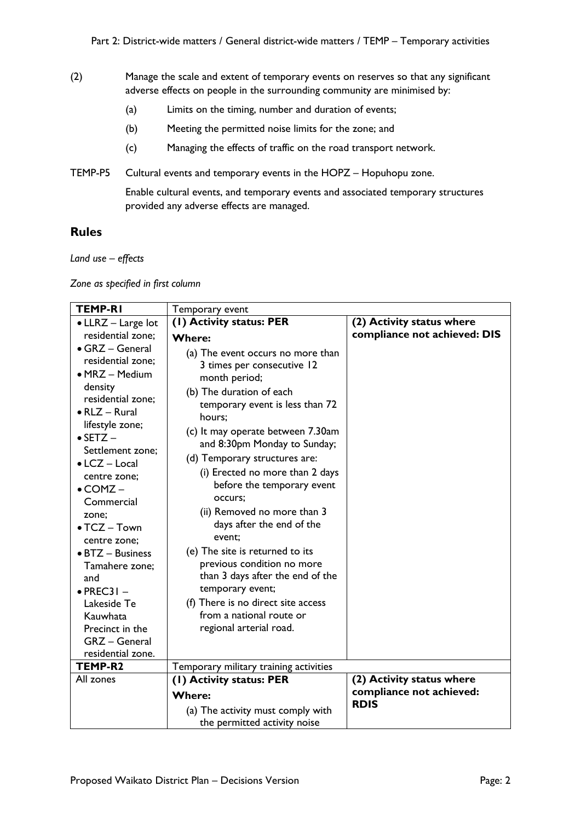- (2) Manage the scale and extent of temporary events on reserves so that any significant adverse effects on people in the surrounding community are minimised by:
	- (a) Limits on the timing, number and duration of events;
	- (b) Meeting the permitted noise limits for the zone; and
	- (c) Managing the effects of traffic on the road transport network.
- TEMP-P5 Cultural events and temporary events in the HOPZ Hopuhopu zone.

Enable cultural events, and temporary events and associated temporary structures provided any adverse effects are managed.

### **Rules**

*Land use – effects*

*Zone as specified in first column*

| <b>TEMP-RI</b>                                                                                                                                                                                                                                                                                                                                                                                                                               | Temporary event                                                                                                                                                                                                                                                                                                                                                                                                                                                                                                                                                                                                                         |                                                       |
|----------------------------------------------------------------------------------------------------------------------------------------------------------------------------------------------------------------------------------------------------------------------------------------------------------------------------------------------------------------------------------------------------------------------------------------------|-----------------------------------------------------------------------------------------------------------------------------------------------------------------------------------------------------------------------------------------------------------------------------------------------------------------------------------------------------------------------------------------------------------------------------------------------------------------------------------------------------------------------------------------------------------------------------------------------------------------------------------------|-------------------------------------------------------|
| • LLRZ - Large lot                                                                                                                                                                                                                                                                                                                                                                                                                           | (1) Activity status: PER                                                                                                                                                                                                                                                                                                                                                                                                                                                                                                                                                                                                                | (2) Activity status where                             |
| residential zone;                                                                                                                                                                                                                                                                                                                                                                                                                            | <b>Where:</b>                                                                                                                                                                                                                                                                                                                                                                                                                                                                                                                                                                                                                           | compliance not achieved: DIS                          |
| • GRZ - General<br>residential zone;<br>• MRZ - Medium<br>density<br>residential zone;<br>$\bullet$ RLZ - Rural<br>lifestyle zone;<br>$\bullet$ SETZ $-$<br>Settlement zone;<br>$\bullet$ LCZ – Local<br>centre zone;<br>$\bullet$ COMZ $-$<br>Commercial<br>zone;<br>$\bullet$ TCZ - Town<br>centre zone;<br>• BTZ - Business<br>Tamahere zone;<br>and<br>$\bullet$ PREC31 -<br>Lakeside Te<br>Kauwhata<br>Precinct in the<br>GRZ - General | (a) The event occurs no more than<br>3 times per consecutive 12<br>month period;<br>(b) The duration of each<br>temporary event is less than 72<br>hours;<br>(c) It may operate between 7.30am<br>and 8:30pm Monday to Sunday;<br>(d) Temporary structures are:<br>(i) Erected no more than 2 days<br>before the temporary event<br>occurs;<br>(ii) Removed no more than 3<br>days after the end of the<br>event:<br>(e) The site is returned to its<br>previous condition no more<br>than 3 days after the end of the<br>temporary event;<br>(f) There is no direct site access<br>from a national route or<br>regional arterial road. |                                                       |
| residential zone.<br>TEMP-R2                                                                                                                                                                                                                                                                                                                                                                                                                 |                                                                                                                                                                                                                                                                                                                                                                                                                                                                                                                                                                                                                                         |                                                       |
| All zones                                                                                                                                                                                                                                                                                                                                                                                                                                    | Temporary military training activities                                                                                                                                                                                                                                                                                                                                                                                                                                                                                                                                                                                                  |                                                       |
|                                                                                                                                                                                                                                                                                                                                                                                                                                              | (1) Activity status: PER                                                                                                                                                                                                                                                                                                                                                                                                                                                                                                                                                                                                                | (2) Activity status where<br>compliance not achieved: |
|                                                                                                                                                                                                                                                                                                                                                                                                                                              | <b>Where:</b>                                                                                                                                                                                                                                                                                                                                                                                                                                                                                                                                                                                                                           | <b>RDIS</b>                                           |
|                                                                                                                                                                                                                                                                                                                                                                                                                                              | (a) The activity must comply with                                                                                                                                                                                                                                                                                                                                                                                                                                                                                                                                                                                                       |                                                       |
|                                                                                                                                                                                                                                                                                                                                                                                                                                              | the permitted activity noise                                                                                                                                                                                                                                                                                                                                                                                                                                                                                                                                                                                                            |                                                       |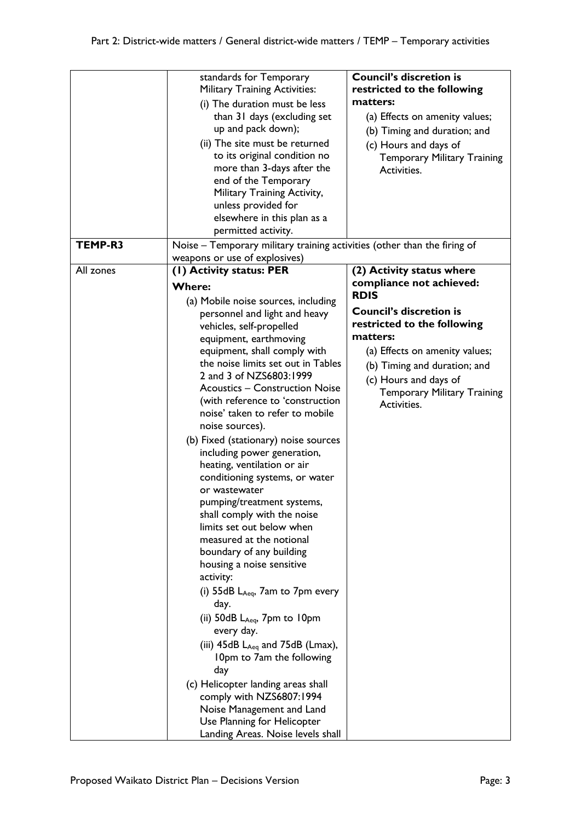|           | standards for Temporary<br><b>Military Training Activities:</b>          | <b>Council's discretion is</b><br>restricted to the following |
|-----------|--------------------------------------------------------------------------|---------------------------------------------------------------|
|           | (i) The duration must be less                                            | matters:                                                      |
|           | than 31 days (excluding set                                              | (a) Effects on amenity values;                                |
|           | up and pack down);                                                       | (b) Timing and duration; and                                  |
|           | (ii) The site must be returned                                           |                                                               |
|           | to its original condition no                                             | (c) Hours and days of<br><b>Temporary Military Training</b>   |
|           | more than 3-days after the                                               | Activities.                                                   |
|           | end of the Temporary                                                     |                                                               |
|           | Military Training Activity,                                              |                                                               |
|           | unless provided for                                                      |                                                               |
|           | elsewhere in this plan as a                                              |                                                               |
|           | permitted activity.                                                      |                                                               |
| TEMP-R3   | Noise - Temporary military training activities (other than the firing of |                                                               |
|           | weapons or use of explosives)                                            |                                                               |
| All zones | (1) Activity status: PER                                                 | (2) Activity status where                                     |
|           |                                                                          | compliance not achieved:                                      |
|           | <b>Where:</b>                                                            | <b>RDIS</b>                                                   |
|           | (a) Mobile noise sources, including                                      | <b>Council's discretion is</b>                                |
|           | personnel and light and heavy                                            |                                                               |
|           | vehicles, self-propelled                                                 | restricted to the following<br>matters:                       |
|           | equipment, earthmoving                                                   |                                                               |
|           | equipment, shall comply with                                             | (a) Effects on amenity values;                                |
|           | the noise limits set out in Tables                                       | (b) Timing and duration; and                                  |
|           | 2 and 3 of NZS6803:1999                                                  | (c) Hours and days of                                         |
|           | <b>Acoustics - Construction Noise</b>                                    | <b>Temporary Military Training</b>                            |
|           | (with reference to 'construction<br>noise' taken to refer to mobile      | Activities.                                                   |
|           |                                                                          |                                                               |
|           | noise sources).                                                          |                                                               |
|           | (b) Fixed (stationary) noise sources                                     |                                                               |
|           | including power generation,                                              |                                                               |
|           | heating, ventilation or air<br>conditioning systems, or water            |                                                               |
|           | or wastewater                                                            |                                                               |
|           | pumping/treatment systems,                                               |                                                               |
|           | shall comply with the noise                                              |                                                               |
|           | limits set out below when                                                |                                                               |
|           | measured at the notional                                                 |                                                               |
|           | boundary of any building                                                 |                                                               |
|           | housing a noise sensitive                                                |                                                               |
|           | activity:                                                                |                                                               |
|           | (i) $55dB$ $L_{Aeq}$ , 7am to 7pm every                                  |                                                               |
|           | day.                                                                     |                                                               |
|           | (ii) $50dB$ $L_{Aeq}$ , $7pm$ to $10pm$                                  |                                                               |
|           | every day.                                                               |                                                               |
|           | (iii) $45dB$ L <sub>Aeq</sub> and $75dB$ (Lmax),                         |                                                               |
|           | 10pm to 7am the following                                                |                                                               |
|           | day                                                                      |                                                               |
|           |                                                                          |                                                               |
|           | (c) Helicopter landing areas shall<br>comply with NZS6807:1994           |                                                               |
|           | Noise Management and Land                                                |                                                               |
|           | Use Planning for Helicopter                                              |                                                               |
|           |                                                                          |                                                               |
|           | Landing Areas. Noise levels shall                                        |                                                               |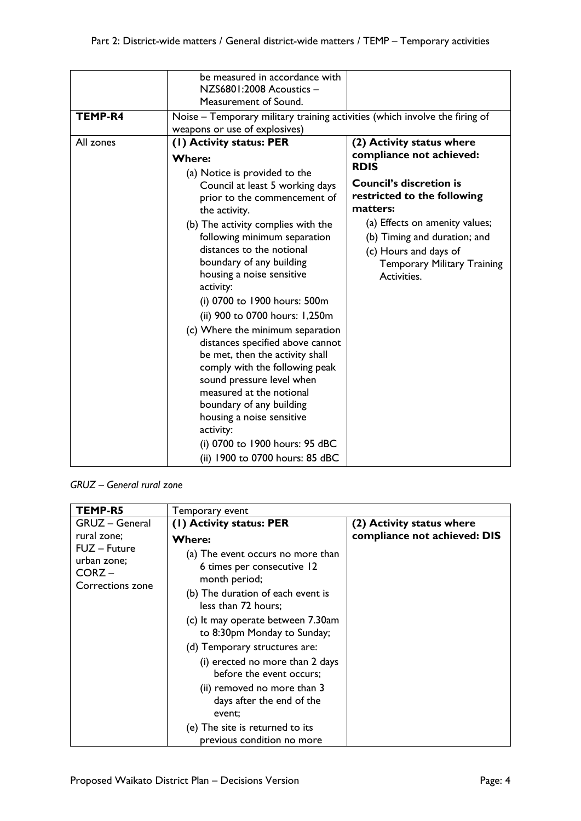|           | be measured in accordance with<br>NZS6801:2008 Acoustics -<br>Measurement of Sound.                                                                                                                                                                                                                                                                                                                                                                                                                                                                                                                                                                                            |                                                                                                                                                                                                                                                                                                   |
|-----------|--------------------------------------------------------------------------------------------------------------------------------------------------------------------------------------------------------------------------------------------------------------------------------------------------------------------------------------------------------------------------------------------------------------------------------------------------------------------------------------------------------------------------------------------------------------------------------------------------------------------------------------------------------------------------------|---------------------------------------------------------------------------------------------------------------------------------------------------------------------------------------------------------------------------------------------------------------------------------------------------|
| TEMP-R4   | Noise – Temporary military training activities (which involve the firing of<br>weapons or use of explosives)                                                                                                                                                                                                                                                                                                                                                                                                                                                                                                                                                                   |                                                                                                                                                                                                                                                                                                   |
| All zones | (I) Activity status: PER<br>Where:<br>(a) Notice is provided to the<br>Council at least 5 working days<br>prior to the commencement of<br>the activity.<br>(b) The activity complies with the<br>following minimum separation<br>distances to the notional<br>boundary of any building<br>housing a noise sensitive<br>activity:<br>(i) 0700 to 1900 hours: 500m<br>(ii) 900 to 0700 hours: 1,250m<br>(c) Where the minimum separation<br>distances specified above cannot<br>be met, then the activity shall<br>comply with the following peak<br>sound pressure level when<br>measured at the notional<br>boundary of any building<br>housing a noise sensitive<br>activity: | (2) Activity status where<br>compliance not achieved:<br><b>RDIS</b><br><b>Council's discretion is</b><br>restricted to the following<br>matters:<br>(a) Effects on amenity values;<br>(b) Timing and duration; and<br>(c) Hours and days of<br><b>Temporary Military Training</b><br>Activities. |
|           | (i) 0700 to 1900 hours: 95 dBC<br>(ii) 1900 to 0700 hours: 85 dBC                                                                                                                                                                                                                                                                                                                                                                                                                                                                                                                                                                                                              |                                                                                                                                                                                                                                                                                                   |

*GRUZ – General rural zone*

| TEMP-R5                                                  | Temporary event                                                                                                                              |                                                           |
|----------------------------------------------------------|----------------------------------------------------------------------------------------------------------------------------------------------|-----------------------------------------------------------|
| <b>GRUZ</b> - General<br>rural zone;                     | (1) Activity status: PER<br>Where:                                                                                                           | (2) Activity status where<br>compliance not achieved: DIS |
| FUZ - Future<br>urban zone;<br>CORZ-<br>Corrections zone | (a) The event occurs no more than<br>6 times per consecutive 12<br>month period;<br>(b) The duration of each event is<br>less than 72 hours; |                                                           |
|                                                          | (c) It may operate between 7.30am<br>to 8:30pm Monday to Sunday;                                                                             |                                                           |
|                                                          | (d) Temporary structures are:                                                                                                                |                                                           |
|                                                          | (i) erected no more than 2 days<br>before the event occurs;                                                                                  |                                                           |
|                                                          | (ii) removed no more than 3<br>days after the end of the<br>event;                                                                           |                                                           |
|                                                          | (e) The site is returned to its<br>previous condition no more                                                                                |                                                           |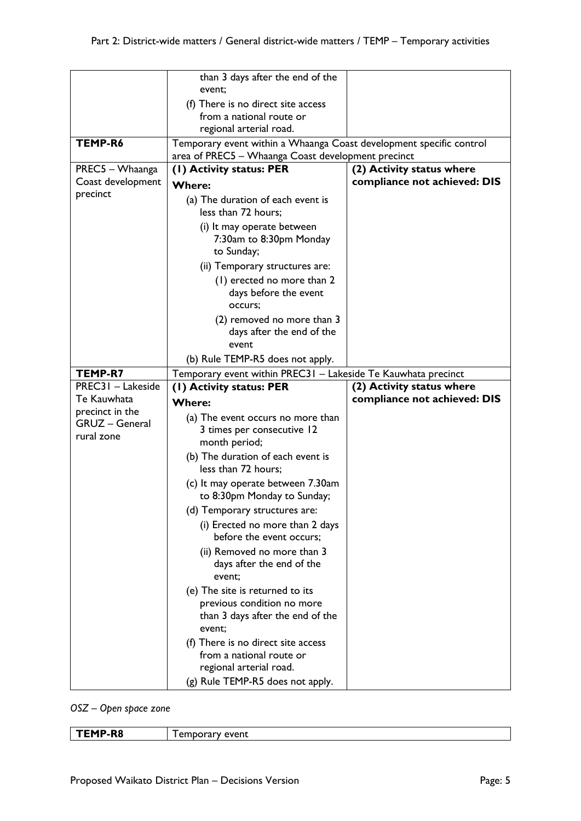|                       | than 3 days after the end of the<br>event;                          |                              |
|-----------------------|---------------------------------------------------------------------|------------------------------|
|                       | (f) There is no direct site access                                  |                              |
|                       | from a national route or                                            |                              |
|                       | regional arterial road.                                             |                              |
| TEMP-R6               | Temporary event within a Whaanga Coast development specific control |                              |
|                       | area of PREC5 - Whaanga Coast development precinct                  |                              |
| PREC5 - Whaanga       | (1) Activity status: PER                                            | (2) Activity status where    |
| Coast development     | <b>Where:</b>                                                       | compliance not achieved: DIS |
| precinct              | (a) The duration of each event is                                   |                              |
|                       | less than 72 hours;                                                 |                              |
|                       | (i) It may operate between                                          |                              |
|                       | 7:30am to 8:30pm Monday                                             |                              |
|                       | to Sunday;                                                          |                              |
|                       | (ii) Temporary structures are:                                      |                              |
|                       | (1) erected no more than 2                                          |                              |
|                       | days before the event                                               |                              |
|                       | occurs:                                                             |                              |
|                       | (2) removed no more than 3                                          |                              |
|                       | days after the end of the                                           |                              |
|                       | event                                                               |                              |
|                       | (b) Rule TEMP-R5 does not apply.                                    |                              |
| TEMP-R7               | Temporary event within PREC31 - Lakeside Te Kauwhata precinct       |                              |
|                       |                                                                     |                              |
| PREC31 - Lakeside     | (1) Activity status: PER                                            | (2) Activity status where    |
| Te Kauwhata           | <b>Where:</b>                                                       | compliance not achieved: DIS |
| precinct in the       | (a) The event occurs no more than                                   |                              |
| <b>GRUZ</b> - General | 3 times per consecutive 12                                          |                              |
| rural zone            | month period;                                                       |                              |
|                       | (b) The duration of each event is                                   |                              |
|                       | less than 72 hours;                                                 |                              |
|                       | (c) It may operate between 7.30am                                   |                              |
|                       | to 8:30pm Monday to Sunday;                                         |                              |
|                       | (d) Temporary structures are:                                       |                              |
|                       | (i) Erected no more than 2 days<br>before the event occurs;         |                              |
|                       | (ii) Removed no more than 3                                         |                              |
|                       | days after the end of the                                           |                              |
|                       | event;                                                              |                              |
|                       | (e) The site is returned to its                                     |                              |
|                       | previous condition no more                                          |                              |
|                       | than 3 days after the end of the                                    |                              |
|                       | event;                                                              |                              |
|                       | (f) There is no direct site access                                  |                              |
|                       | from a national route or                                            |                              |
|                       | regional arterial road.                                             |                              |

*OSZ – Open space zone*

| <b>MP-R8</b> | avant |
|--------------|-------|
|              | .     |
|              |       |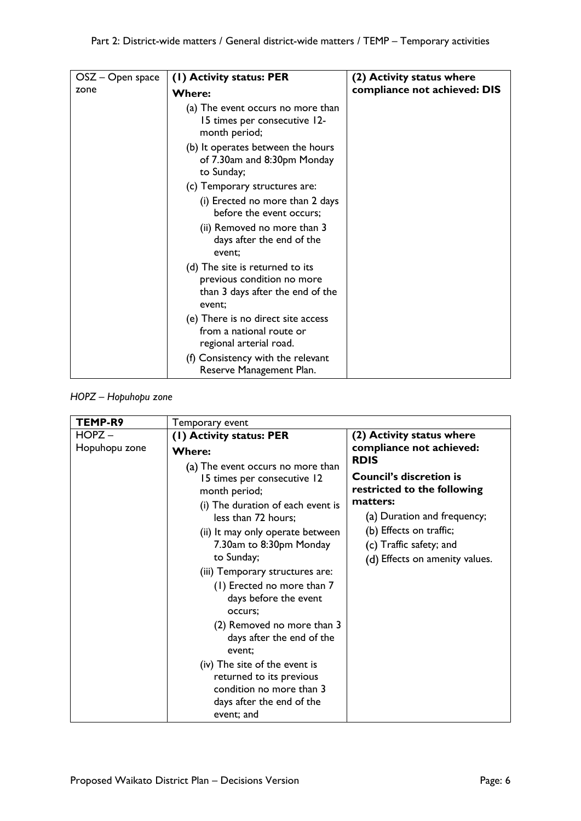| $OSZ - Open space$ | (1) Activity status: PER                                                                                    | (2) Activity status where    |
|--------------------|-------------------------------------------------------------------------------------------------------------|------------------------------|
| zone               | <b>Where:</b>                                                                                               | compliance not achieved: DIS |
|                    | (a) The event occurs no more than<br>15 times per consecutive 12-<br>month period;                          |                              |
|                    | (b) It operates between the hours<br>of 7.30am and 8:30pm Monday<br>to Sunday;                              |                              |
|                    | (c) Temporary structures are:                                                                               |                              |
|                    | (i) Erected no more than 2 days<br>before the event occurs;                                                 |                              |
|                    | (ii) Removed no more than 3<br>days after the end of the<br>event:                                          |                              |
|                    | (d) The site is returned to its<br>previous condition no more<br>than 3 days after the end of the<br>event; |                              |
|                    | (e) There is no direct site access<br>from a national route or<br>regional arterial road.                   |                              |
|                    | (f) Consistency with the relevant<br>Reserve Management Plan.                                               |                              |

#### *HOPZ – Hopuhopu zone*

| TEMP-R9       | Temporary event                                                                                                                  |                                                                              |
|---------------|----------------------------------------------------------------------------------------------------------------------------------|------------------------------------------------------------------------------|
| $HOPZ -$      | (1) Activity status: PER                                                                                                         | (2) Activity status where                                                    |
| Hopuhopu zone | <b>Where:</b>                                                                                                                    | compliance not achieved:                                                     |
|               | (a) The event occurs no more than<br>15 times per consecutive 12<br>month period;                                                | <b>RDIS</b><br><b>Council's discretion is</b><br>restricted to the following |
|               | (i) The duration of each event is                                                                                                | matters:                                                                     |
|               | less than 72 hours;                                                                                                              | (a) Duration and frequency;                                                  |
|               | (ii) It may only operate between                                                                                                 | (b) Effects on traffic;                                                      |
|               | 7.30am to 8:30pm Monday<br>to Sunday;                                                                                            | (c) Traffic safety; and                                                      |
|               | (iii) Temporary structures are:                                                                                                  | (d) Effects on amenity values.                                               |
|               | (1) Erected no more than 7<br>days before the event<br>occurs;                                                                   |                                                                              |
|               | (2) Removed no more than 3<br>days after the end of the<br>event:                                                                |                                                                              |
|               | (iv) The site of the event is<br>returned to its previous<br>condition no more than 3<br>days after the end of the<br>event; and |                                                                              |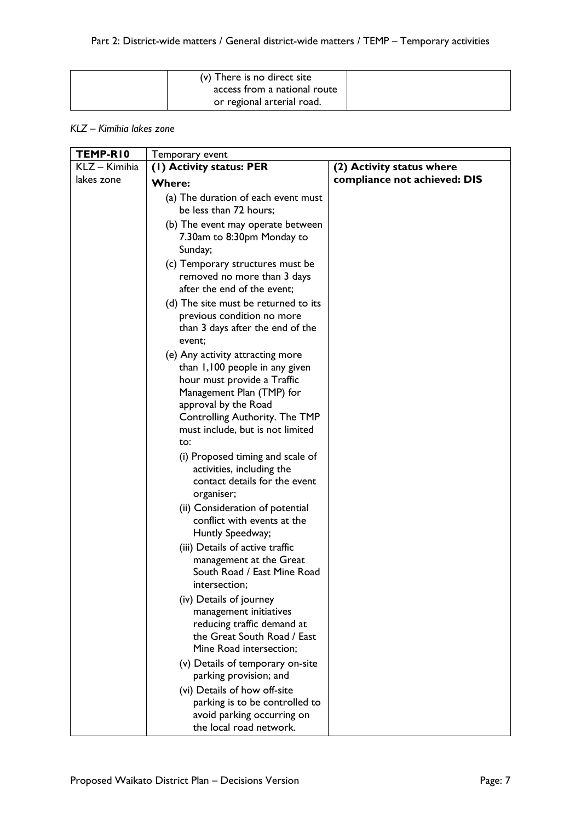| (v) There is no direct site<br>access from a national route |  |
|-------------------------------------------------------------|--|
| or regional arterial road.                                  |  |

#### *KLZ – Kimihia lakes zone*

| TEMP-RIO      | Temporary event                                                                                                                                                                       |                              |
|---------------|---------------------------------------------------------------------------------------------------------------------------------------------------------------------------------------|------------------------------|
| KLZ - Kimihia | (1) Activity status: PER                                                                                                                                                              | (2) Activity status where    |
| lakes zone    | Where:                                                                                                                                                                                | compliance not achieved: DIS |
|               | (a) The duration of each event must<br>be less than 72 hours;                                                                                                                         |                              |
|               | (b) The event may operate between<br>7.30am to 8:30pm Monday to<br>Sunday;                                                                                                            |                              |
|               | (c) Temporary structures must be<br>removed no more than 3 days<br>after the end of the event;                                                                                        |                              |
|               | (d) The site must be returned to its<br>previous condition no more<br>than 3 days after the end of the<br>event;                                                                      |                              |
|               | (e) Any activity attracting more<br>than 1,100 people in any given<br>hour must provide a Traffic<br>Management Plan (TMP) for                                                        |                              |
|               | approval by the Road<br>Controlling Authority. The TMP<br>must include, but is not limited<br>to:                                                                                     |                              |
|               | (i) Proposed timing and scale of<br>activities, including the<br>contact details for the event<br>organiser;                                                                          |                              |
|               | (ii) Consideration of potential<br>conflict with events at the<br>Huntly Speedway;                                                                                                    |                              |
|               | (iii) Details of active traffic<br>management at the Great<br>South Road / East Mine Road<br>intersection;                                                                            |                              |
|               | (iv) Details of journey<br>management initiatives<br>reducing traffic demand at<br>the Great South Road / East<br>Mine Road intersection;                                             |                              |
|               | (v) Details of temporary on-site<br>parking provision; and<br>(vi) Details of how off-site<br>parking is to be controlled to<br>avoid parking occurring on<br>the local road network. |                              |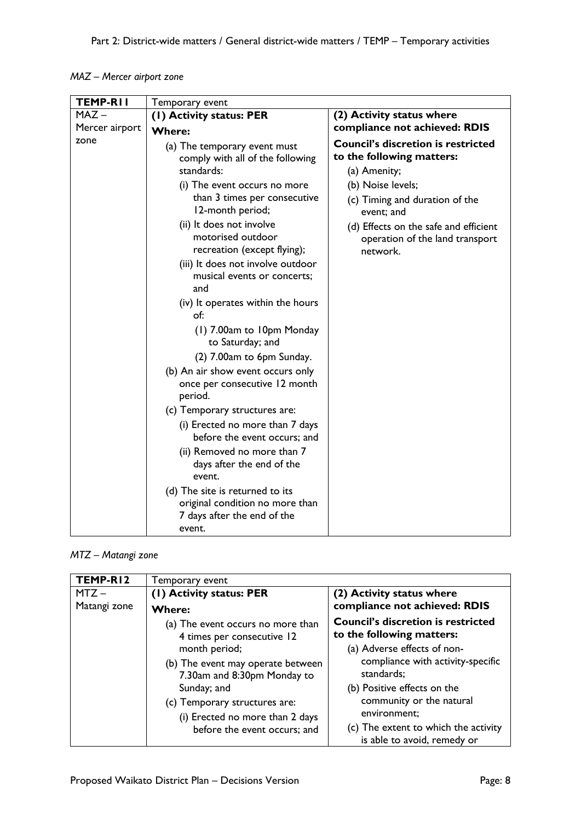| MAZ – Mercer airport zone |  |
|---------------------------|--|
|---------------------------|--|



| TEMP-RI2     | Temporary event                                                                                                                                                                                      |                                                                                                                                                                                                                                  |
|--------------|------------------------------------------------------------------------------------------------------------------------------------------------------------------------------------------------------|----------------------------------------------------------------------------------------------------------------------------------------------------------------------------------------------------------------------------------|
| $MTZ -$      | (I) Activity status: PER                                                                                                                                                                             | (2) Activity status where                                                                                                                                                                                                        |
| Matangi zone | <b>Where:</b>                                                                                                                                                                                        | compliance not achieved: RDIS                                                                                                                                                                                                    |
|              | (a) The event occurs no more than<br>4 times per consecutive 12                                                                                                                                      | <b>Council's discretion is restricted</b><br>to the following matters:                                                                                                                                                           |
|              | month period;<br>(b) The event may operate between<br>7.30am and 8:30pm Monday to<br>Sunday; and<br>(c) Temporary structures are:<br>(i) Erected no more than 2 days<br>before the event occurs; and | (a) Adverse effects of non-<br>compliance with activity-specific<br>standards;<br>(b) Positive effects on the<br>community or the natural<br>environment;<br>(c) The extent to which the activity<br>is able to avoid, remedy or |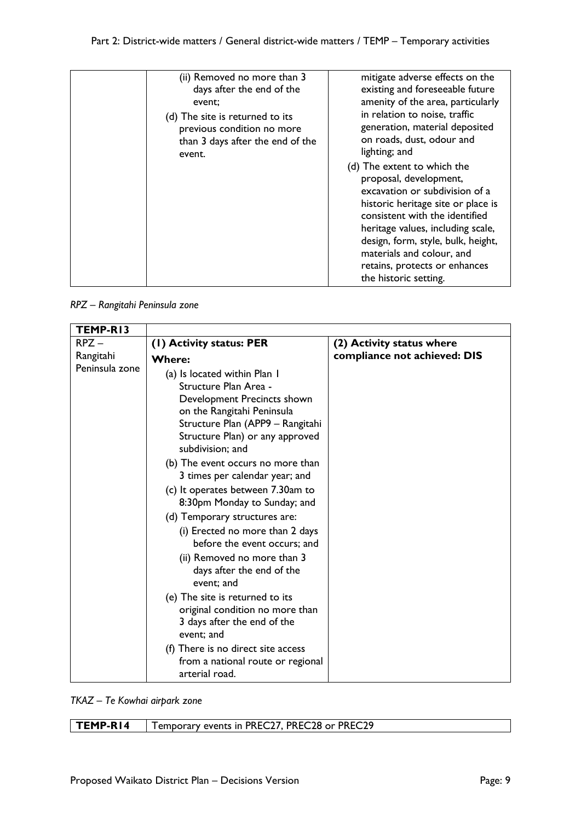| (ii) Removed no more than 3<br>days after the end of the<br>event;<br>(d) The site is returned to its<br>previous condition no more<br>than 3 days after the end of the<br>event. | mitigate adverse effects on the<br>existing and foreseeable future<br>amenity of the area, particularly<br>in relation to noise, traffic<br>generation, material deposited<br>on roads, dust, odour and<br>lighting; and<br>(d) The extent to which the<br>proposal, development,<br>excavation or subdivision of a<br>historic heritage site or place is<br>consistent with the identified<br>heritage values, including scale,<br>design, form, style, bulk, height,<br>materials and colour, and |
|-----------------------------------------------------------------------------------------------------------------------------------------------------------------------------------|-----------------------------------------------------------------------------------------------------------------------------------------------------------------------------------------------------------------------------------------------------------------------------------------------------------------------------------------------------------------------------------------------------------------------------------------------------------------------------------------------------|
|                                                                                                                                                                                   | retains, protects or enhances<br>the historic setting.                                                                                                                                                                                                                                                                                                                                                                                                                                              |

*RPZ – Rangitahi Peninsula zone*

| TEMP-RI3       |                                                                                                                                                                                                               |                              |
|----------------|---------------------------------------------------------------------------------------------------------------------------------------------------------------------------------------------------------------|------------------------------|
| $R$ PZ $-$     | (1) Activity status: PER                                                                                                                                                                                      | (2) Activity status where    |
| Rangitahi      | <b>Where:</b>                                                                                                                                                                                                 | compliance not achieved: DIS |
| Peninsula zone | (a) Is located within Plan I<br>Structure Plan Area -<br>Development Precincts shown<br>on the Rangitahi Peninsula<br>Structure Plan (APP9 - Rangitahi<br>Structure Plan) or any approved<br>subdivision; and |                              |
|                | (b) The event occurs no more than<br>3 times per calendar year; and                                                                                                                                           |                              |
|                | (c) It operates between 7.30am to<br>8:30pm Monday to Sunday; and                                                                                                                                             |                              |
|                | (d) Temporary structures are:                                                                                                                                                                                 |                              |
|                | (i) Erected no more than 2 days<br>before the event occurs; and                                                                                                                                               |                              |
|                | (ii) Removed no more than 3<br>days after the end of the<br>event; and                                                                                                                                        |                              |
|                | (e) The site is returned to its<br>original condition no more than<br>3 days after the end of the<br>event; and                                                                                               |                              |
|                | (f) There is no direct site access<br>from a national route or regional<br>arterial road.                                                                                                                     |                              |

*TKAZ – Te Kowhai airpark zone*

| $TEMP-RI4$ | Temporary events in PREC27, PREC28 or PREC29 |
|------------|----------------------------------------------|
|            |                                              |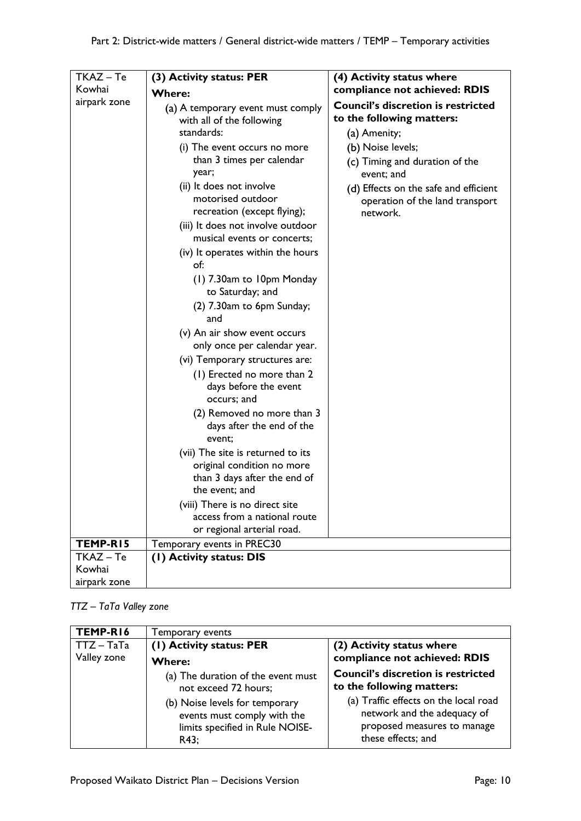| TKAZ - Te    | (3) Activity status: PER                                                                                                                                                                                                                                                                                                                                                                                                                                                                                                                                                                                                                                                                                                                                                                                                                                                                     | (4) Activity status where                                                                                                                                                                                                                                                            |
|--------------|----------------------------------------------------------------------------------------------------------------------------------------------------------------------------------------------------------------------------------------------------------------------------------------------------------------------------------------------------------------------------------------------------------------------------------------------------------------------------------------------------------------------------------------------------------------------------------------------------------------------------------------------------------------------------------------------------------------------------------------------------------------------------------------------------------------------------------------------------------------------------------------------|--------------------------------------------------------------------------------------------------------------------------------------------------------------------------------------------------------------------------------------------------------------------------------------|
| Kowhai       |                                                                                                                                                                                                                                                                                                                                                                                                                                                                                                                                                                                                                                                                                                                                                                                                                                                                                              |                                                                                                                                                                                                                                                                                      |
| airpark zone | <b>Where:</b><br>(a) A temporary event must comply<br>with all of the following<br>standards:<br>(i) The event occurs no more<br>than 3 times per calendar<br>year;<br>(ii) It does not involve<br>motorised outdoor<br>recreation (except flying);<br>(iii) It does not involve outdoor<br>musical events or concerts;<br>(iv) It operates within the hours<br>of:<br>(1) 7.30am to 10pm Monday<br>to Saturday; and<br>(2) 7.30am to 6pm Sunday;<br>and<br>(v) An air show event occurs<br>only once per calendar year.<br>(vi) Temporary structures are:<br>(1) Erected no more than 2<br>days before the event<br>occurs; and<br>(2) Removed no more than 3<br>days after the end of the<br>event;<br>(vii) The site is returned to its<br>original condition no more<br>than 3 days after the end of<br>the event; and<br>(viii) There is no direct site<br>access from a national route | compliance not achieved: RDIS<br><b>Council's discretion is restricted</b><br>to the following matters:<br>(a) Amenity;<br>(b) Noise levels;<br>(c) Timing and duration of the<br>event; and<br>(d) Effects on the safe and efficient<br>operation of the land transport<br>network. |
|              | or regional arterial road.                                                                                                                                                                                                                                                                                                                                                                                                                                                                                                                                                                                                                                                                                                                                                                                                                                                                   |                                                                                                                                                                                                                                                                                      |
| TEMP-RI5     | Temporary events in PREC30                                                                                                                                                                                                                                                                                                                                                                                                                                                                                                                                                                                                                                                                                                                                                                                                                                                                   |                                                                                                                                                                                                                                                                                      |
| $TKAZ - Te$  | (I) Activity status: DIS                                                                                                                                                                                                                                                                                                                                                                                                                                                                                                                                                                                                                                                                                                                                                                                                                                                                     |                                                                                                                                                                                                                                                                                      |
| Kowhai       |                                                                                                                                                                                                                                                                                                                                                                                                                                                                                                                                                                                                                                                                                                                                                                                                                                                                                              |                                                                                                                                                                                                                                                                                      |
| airpark zone |                                                                                                                                                                                                                                                                                                                                                                                                                                                                                                                                                                                                                                                                                                                                                                                                                                                                                              |                                                                                                                                                                                                                                                                                      |

# *TTZ – TaTa Valley zone*

| TEMP-R16     | Temporary events                                                                                         |                                                                                                                           |
|--------------|----------------------------------------------------------------------------------------------------------|---------------------------------------------------------------------------------------------------------------------------|
| $TTZ - TaTa$ | (I) Activity status: PER                                                                                 | (2) Activity status where                                                                                                 |
| Valley zone  | <b>Where:</b>                                                                                            | compliance not achieved: RDIS                                                                                             |
|              | (a) The duration of the event must<br>not exceed 72 hours;                                               | <b>Council's discretion is restricted</b><br>to the following matters:                                                    |
|              | (b) Noise levels for temporary<br>events must comply with the<br>limits specified in Rule NOISE-<br>R43; | (a) Traffic effects on the local road<br>network and the adequacy of<br>proposed measures to manage<br>these effects; and |